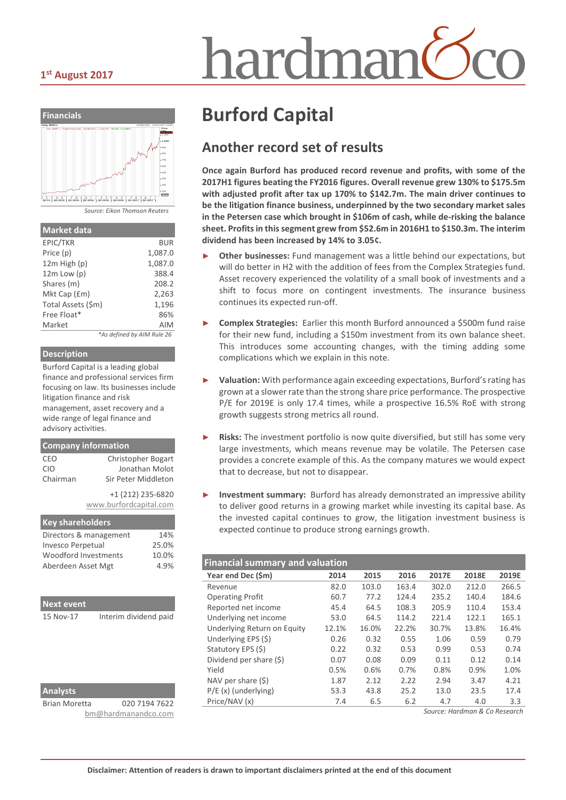### **1st August 2017**





|  | Source: Eikon Thomson Reuters |  |
|--|-------------------------------|--|
|  |                               |  |

| <b>Market data</b> |                            |
|--------------------|----------------------------|
| EPIC/TKR           | BUR                        |
| Price (p)          | 1,087.0                    |
| $12m$ High $(p)$   | 1,087.0                    |
| $12m$ Low (p)      | 388.4                      |
| Shares (m)         | 208.2                      |
| Mkt Cap (£m)       | 2,263                      |
| Total Assets (\$m) | 1,196                      |
| Free Float*        | 86%                        |
| Market             | AIM                        |
|                    | *As defined by AIM Rule 26 |

#### **Description**

Burford Capital is a leading global finance and professional services firm focusing on law. Its businesses include litigation finance and risk management, asset recovery and a wide range of legal finance and advisory activities.

|            | <b>Company information</b> |
|------------|----------------------------|
| CEO        | <b>Christopher Bogart</b>  |
| <b>CIO</b> | Jonathan Molot             |
| Chairman   | Sir Peter Middleton        |
|            | +1 (212) 235-6820          |
|            | www.burfordcapital.com     |

| <b>Key shareholders</b>  |       |
|--------------------------|-------|
| Directors & management   | 14%   |
| <b>Invesco Perpetual</b> | 25.0% |
| Woodford Investments     | 10.0% |
| Aberdeen Asset Mgt       | 4.9%  |
|                          |       |

| <b>Next event</b> |                       |
|-------------------|-----------------------|
| 15 Nov-17         | Interim dividend paid |
|                   |                       |
|                   |                       |
|                   |                       |
|                   |                       |

| ÷ |
|---|
|---|

Brian Moretta 020 7194 7622 [bm@hardmanandco.com](mailto:bm@hardmanandco.com)

# **Burford Capital**

# **Another record set of results**

**Once again Burford has produced record revenue and profits, with some of the 2017H1 figures beating the FY2016 figures. Overall revenue grew 130% to \$175.5m with adjusted profit after tax up 170% to \$142.7m. The main driver continues to be the litigation finance business, underpinned by the two secondary market sales in the Petersen case which brought in \$106m of cash, while de-risking the balance sheet. Profits in this segment grew from \$52.6m in 2016H1 to \$150.3m. The interim dividend has been increased by 14% to 3.05¢.**

- **Other businesses:** Fund management was a little behind our expectations, but will do better in H2 with the addition of fees from the Complex Strategies fund. Asset recovery experienced the volatility of a small book of investments and a shift to focus more on contingent investments. The insurance business continues its expected run-off.
- ► **Complex Strategies:** Earlier this month Burford announced a \$500m fund raise for their new fund, including a \$150m investment from its own balance sheet. This introduces some accounting changes, with the timing adding some complications which we explain in this note.
- ► **Valuation:** With performance again exceeding expectations, Burford's rating has grown at a slower rate than the strong share price performance. The prospective P/E for 2019E is only 17.4 times, while a prospective 16.5% RoE with strong growth suggests strong metrics all round.
- Risks: The investment portfolio is now quite diversified, but still has some very large investments, which means revenue may be volatile. The Petersen case provides a concrete example of this. As the company matures we would expect that to decrease, but not to disappear.
- **Investment summary:** Burford has already demonstrated an impressive ability to deliver good returns in a growing market while investing its capital base. As the invested capital continues to grow, the litigation investment business is expected continue to produce strong earnings growth.

| <b>Financial summary and valuation</b> |       |       |       |       |       |  |  |
|----------------------------------------|-------|-------|-------|-------|-------|--|--|
| 2014                                   | 2015  | 2016  | 2017E | 2018E | 2019E |  |  |
| 82.0                                   | 103.0 | 163.4 | 302.0 | 212.0 | 266.5 |  |  |
| 60.7                                   | 77.2  | 124.4 | 235.2 | 140.4 | 184.6 |  |  |
| 45.4                                   | 64.5  | 108.3 | 205.9 | 110.4 | 153.4 |  |  |
| 53.0                                   | 64.5  | 114.2 | 221.4 | 122.1 | 165.1 |  |  |
| 12.1%                                  | 16.0% | 22.2% | 30.7% | 13.8% | 16.4% |  |  |
| 0.26                                   | 0.32  | 0.55  | 1.06  | 0.59  | 0.79  |  |  |
| 0.22                                   | 0.32  | 0.53  | 0.99  | 0.53  | 0.74  |  |  |
| 0.07                                   | 0.08  | 0.09  | 0.11  | 0.12  | 0.14  |  |  |
| 0.5%                                   | 0.6%  | 0.7%  | 0.8%  | 0.9%  | 1.0%  |  |  |
| 1.87                                   | 2.12  | 2.22  | 2.94  | 3.47  | 4.21  |  |  |
| 53.3                                   | 43.8  | 25.2  | 13.0  | 23.5  | 17.4  |  |  |
| 7.4                                    | 6.5   | 6.2   | 4.7   | 4.0   | 3.3   |  |  |
|                                        |       |       |       |       |       |  |  |

*Source: Hardman & Co Research*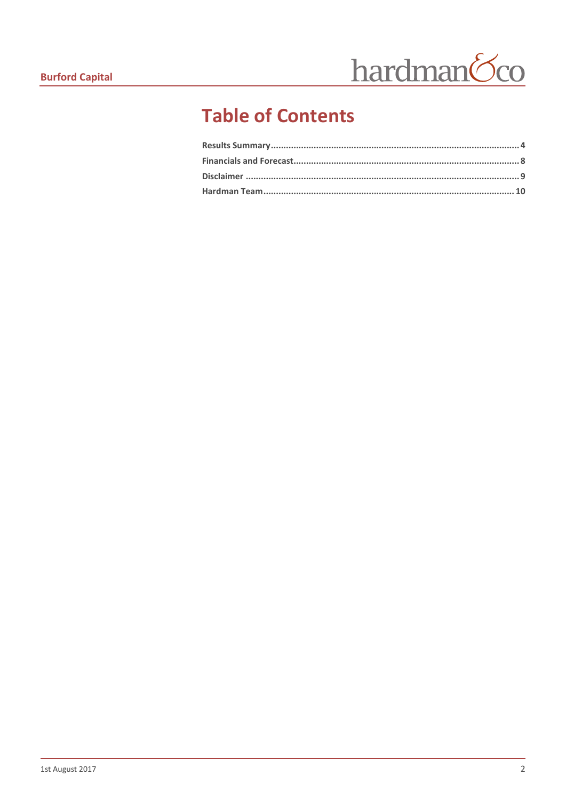

# **Table of Contents**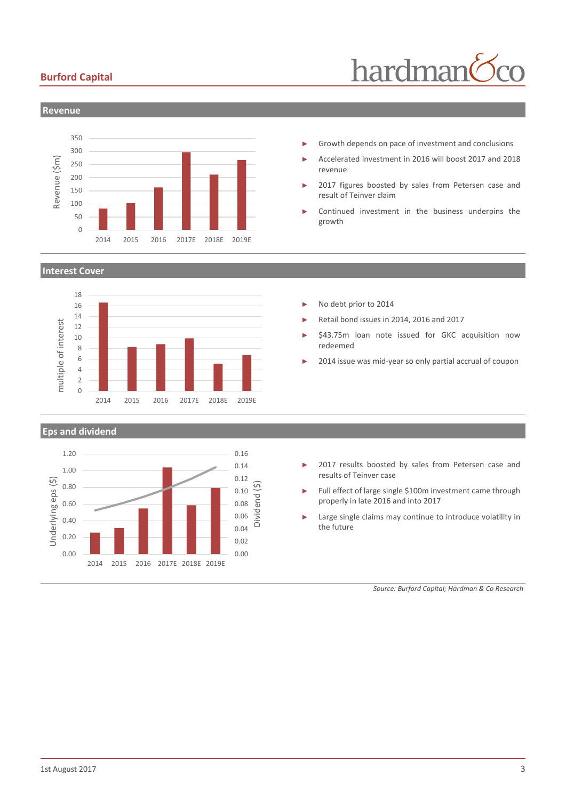### **Burford Capital**





Growth depends on pace of investment and conclusions

- ► Accelerated investment in 2016 will boost 2017 and 2018 revenue
- 2017 figures boosted by sales from Petersen case and result of Teinver claim
- Continued investment in the business underpins the growth

**Interest Cover**

0 50



2014 2015 2016 2017E 2018E 2019E

#### **Eps and dividend**



- No debt prior to 2014
- Retail bond issues in 2014, 2016 and 2017
- \$43.75m loan note issued for GKC acquisition now redeemed
- 2014 issue was mid-year so only partial accrual of coupon

- 2017 results boosted by sales from Petersen case and results of Teinver case
- Full effect of large single \$100m investment came through properly in late 2016 and into 2017
- Large single claims may continue to introduce volatility in the future

*Source: Burford Capital; Hardman & Co Research*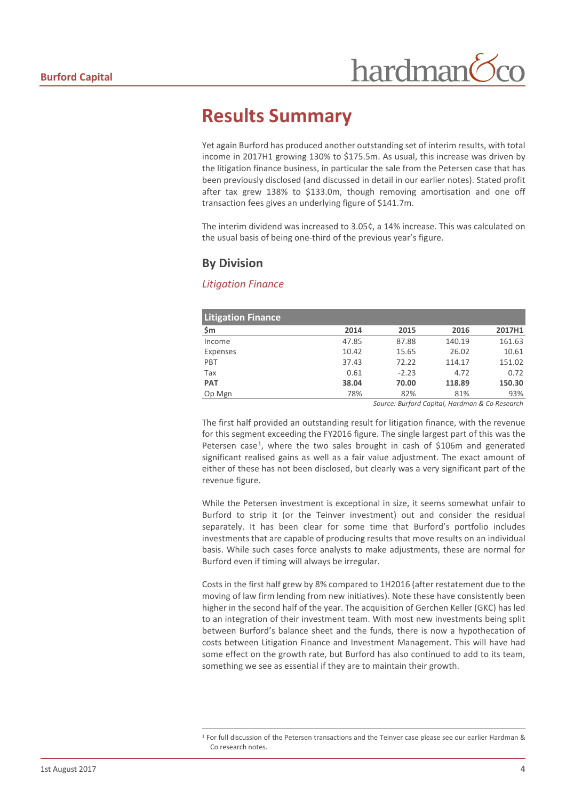# <span id="page-3-0"></span>**Results Summary**

Yet again Burford has produced another outstanding set of interim results, with total income in 2017H1 growing 130% to \$175.5m. As usual, this increase was driven by the litigation finance business, in particular the sale from the Petersen case that has been previously disclosed (and discussed in detail in our earlier notes). Stated profit after tax grew 138% to \$133.0m, though removing amortisation and one off transaction fees gives an underlying figure of \$141.7m.

The interim dividend was increased to 3.05¢, a 14% increase. This was calculated on the usual basis of being one-third of the previous year's figure.

### **By Division**

### *Litigation Finance*

| <b>Litigation Finance</b> |       |         |        |        |
|---------------------------|-------|---------|--------|--------|
| \$m                       | 2014  | 2015    | 2016   | 2017H1 |
| Income                    | 47.85 | 87.88   | 140.19 | 161.63 |
| Expenses                  | 10.42 | 15.65   | 26.02  | 10.61  |
| PBT                       | 37.43 | 72.22   | 114.17 | 151.02 |
| Tax                       | 0.61  | $-2.23$ | 4.72   | 0.72   |
| <b>PAT</b>                | 38.04 | 70.00   | 118.89 | 150.30 |
| Op Mgn                    | 78%   | 82%     | 81%    | 93%    |

*Source: Burford Capital, Hardman & Co Research*

The first half provided an outstanding result for litigation finance, with the revenue for this segment exceeding the FY2016 figure. The single largest part of this was the Petersen case<sup>[1](#page-3-1)</sup>, where the two sales brought in cash of \$106m and generated significant realised gains as well as a fair value adjustment. The exact amount of either of these has not been disclosed, but clearly was a very significant part of the revenue figure.

While the Petersen investment is exceptional in size, it seems somewhat unfair to Burford to strip it (or the Teinver investment) out and consider the residual separately. It has been clear for some time that Burford's portfolio includes investments that are capable of producing results that move results on an individual basis. While such cases force analysts to make adjustments, these are normal for Burford even if timing will always be irregular.

Costs in the first half grew by 8% compared to 1H2016 (after restatement due to the moving of law firm lending from new initiatives). Note these have consistently been higher in the second half of the year. The acquisition of Gerchen Keller (GKC) has led to an integration of their investment team. With most new investments being split between Burford's balance sheet and the funds, there is now a hypothecation of costs between Litigation Finance and Investment Management. This will have had some effect on the growth rate, but Burford has also continued to add to its team, something we see as essential if they are to maintain their growth.

<span id="page-3-1"></span> <sup>1</sup> For full discussion of the Petersen transactions and the Teinver case please see our earlier Hardman & Co research notes.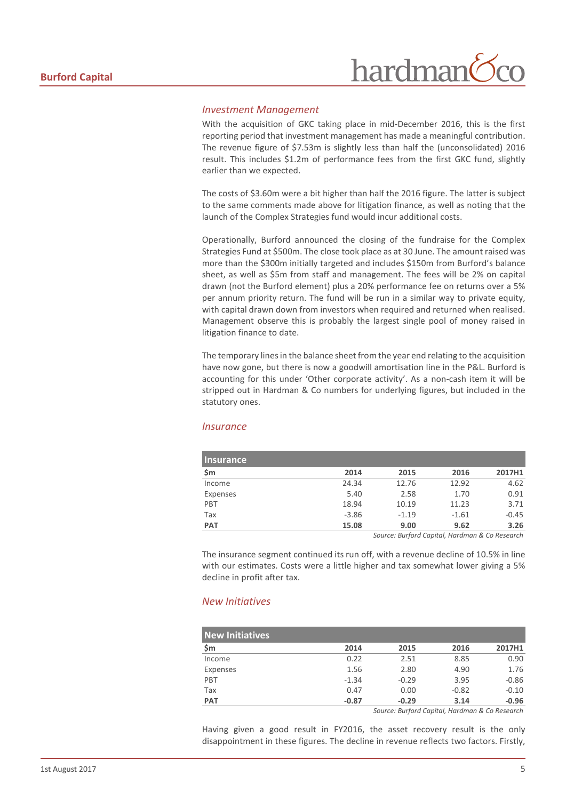# hardman

#### *Investment Management*

With the acquisition of GKC taking place in mid-December 2016, this is the first reporting period that investment management has made a meaningful contribution. The revenue figure of \$7.53m is slightly less than half the (unconsolidated) 2016 result. This includes \$1.2m of performance fees from the first GKC fund, slightly earlier than we expected.

The costs of \$3.60m were a bit higher than half the 2016 figure. The latter is subject to the same comments made above for litigation finance, as well as noting that the launch of the Complex Strategies fund would incur additional costs.

Operationally, Burford announced the closing of the fundraise for the Complex Strategies Fund at \$500m. The close took place as at 30 June. The amount raised was more than the \$300m initially targeted and includes \$150m from Burford's balance sheet, as well as \$5m from staff and management. The fees will be 2% on capital drawn (not the Burford element) plus a 20% performance fee on returns over a 5% per annum priority return. The fund will be run in a similar way to private equity, with capital drawn down from investors when required and returned when realised. Management observe this is probably the largest single pool of money raised in litigation finance to date.

The temporary lines in the balance sheet from the year end relating to the acquisition have now gone, but there is now a goodwill amortisation line in the P&L. Burford is accounting for this under 'Other corporate activity'. As a non-cash item it will be stripped out in Hardman & Co numbers for underlying figures, but included in the statutory ones.

#### *Insurance*

| <b>Insurance</b> |         |         |         |         |
|------------------|---------|---------|---------|---------|
| \$m              | 2014    | 2015    | 2016    | 2017H1  |
| Income           | 24.34   | 12.76   | 12.92   | 4.62    |
| Expenses         | 5.40    | 2.58    | 1.70    | 0.91    |
| PBT              | 18.94   | 10.19   | 11.23   | 3.71    |
| Tax              | $-3.86$ | $-1.19$ | $-1.61$ | $-0.45$ |
| <b>PAT</b>       | 15.08   | 9.00    | 9.62    | 3.26    |
|                  |         |         |         |         |

*Source: Burford Capital, Hardman & Co Research*

The insurance segment continued its run off, with a revenue decline of 10.5% in line with our estimates. Costs were a little higher and tax somewhat lower giving a 5% decline in profit after tax.

#### *New Initiatives*

| <b>New Initiatives</b> |         |         |         |         |
|------------------------|---------|---------|---------|---------|
| \$m                    | 2014    | 2015    | 2016    | 2017H1  |
| Income                 | 0.22    | 2.51    | 8.85    | 0.90    |
| Expenses               | 1.56    | 2.80    | 4.90    | 1.76    |
| PBT                    | $-1.34$ | $-0.29$ | 3.95    | $-0.86$ |
| Tax                    | 0.47    | 0.00    | $-0.82$ | $-0.10$ |
| <b>PAT</b>             | $-0.87$ | $-0.29$ | 3.14    | $-0.96$ |

*Source: Burford Capital, Hardman & Co Research*

Having given a good result in FY2016, the asset recovery result is the only disappointment in these figures. The decline in revenue reflects two factors. Firstly,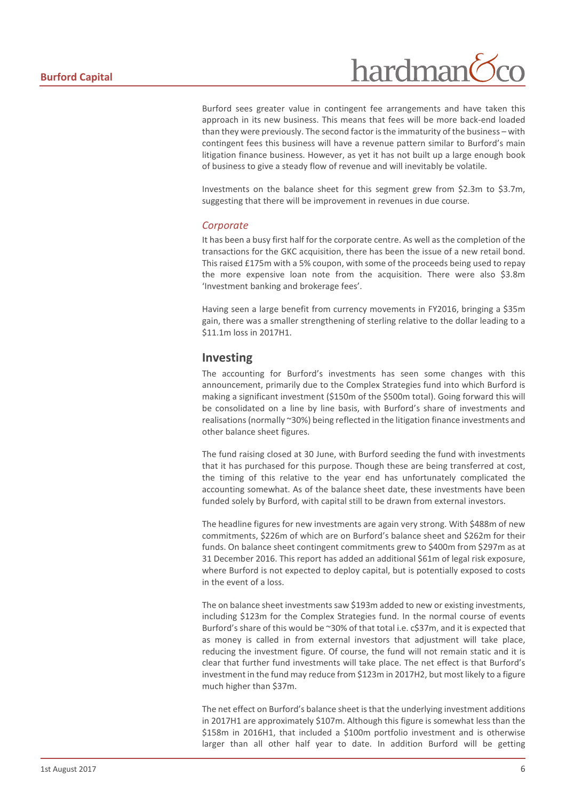Burford sees greater value in contingent fee arrangements and have taken this approach in its new business. This means that fees will be more back-end loaded than they were previously. The second factor is the immaturity of the business – with contingent fees this business will have a revenue pattern similar to Burford's main litigation finance business. However, as yet it has not built up a large enough book of business to give a steady flow of revenue and will inevitably be volatile.

Investments on the balance sheet for this segment grew from \$2.3m to \$3.7m, suggesting that there will be improvement in revenues in due course.

#### *Corporate*

It has been a busy first half for the corporate centre. As well as the completion of the transactions for the GKC acquisition, there has been the issue of a new retail bond. This raised £175m with a 5% coupon, with some of the proceeds being used to repay the more expensive loan note from the acquisition. There were also \$3.8m 'Investment banking and brokerage fees'.

Having seen a large benefit from currency movements in FY2016, bringing a \$35m gain, there was a smaller strengthening of sterling relative to the dollar leading to a \$11.1m loss in 2017H1.

### **Investing**

The accounting for Burford's investments has seen some changes with this announcement, primarily due to the Complex Strategies fund into which Burford is making a significant investment (\$150m of the \$500m total). Going forward this will be consolidated on a line by line basis, with Burford's share of investments and realisations (normally ~30%) being reflected in the litigation finance investments and other balance sheet figures.

The fund raising closed at 30 June, with Burford seeding the fund with investments that it has purchased for this purpose. Though these are being transferred at cost, the timing of this relative to the year end has unfortunately complicated the accounting somewhat. As of the balance sheet date, these investments have been funded solely by Burford, with capital still to be drawn from external investors.

The headline figures for new investments are again very strong. With \$488m of new commitments, \$226m of which are on Burford's balance sheet and \$262m for their funds. On balance sheet contingent commitments grew to \$400m from \$297m as at 31 December 2016. This report has added an additional \$61m of legal risk exposure, where Burford is not expected to deploy capital, but is potentially exposed to costs in the event of a loss.

The on balance sheet investments saw \$193m added to new or existing investments, including \$123m for the Complex Strategies fund. In the normal course of events Burford's share of this would be ~30% of that total i.e. c\$37m, and it is expected that as money is called in from external investors that adjustment will take place, reducing the investment figure. Of course, the fund will not remain static and it is clear that further fund investments will take place. The net effect is that Burford's investment in the fund may reduce from \$123m in 2017H2, but most likely to a figure much higher than \$37m.

The net effect on Burford's balance sheet is that the underlying investment additions in 2017H1 are approximately \$107m. Although this figure is somewhat less than the \$158m in 2016H1, that included a \$100m portfolio investment and is otherwise larger than all other half year to date. In addition Burford will be getting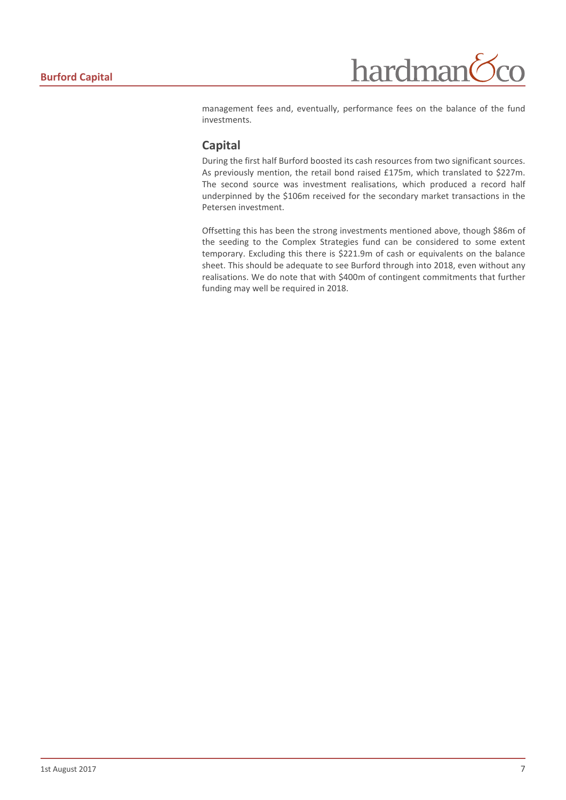management fees and, eventually, performance fees on the balance of the fund investments.

### **Capital**

During the first half Burford boosted its cash resources from two significant sources. As previously mention, the retail bond raised £175m, which translated to \$227m. The second source was investment realisations, which produced a record half underpinned by the \$106m received for the secondary market transactions in the Petersen investment.

Offsetting this has been the strong investments mentioned above, though \$86m of the seeding to the Complex Strategies fund can be considered to some extent temporary. Excluding this there is \$221.9m of cash or equivalents on the balance sheet. This should be adequate to see Burford through into 2018, even without any realisations. We do note that with \$400m of contingent commitments that further funding may well be required in 2018.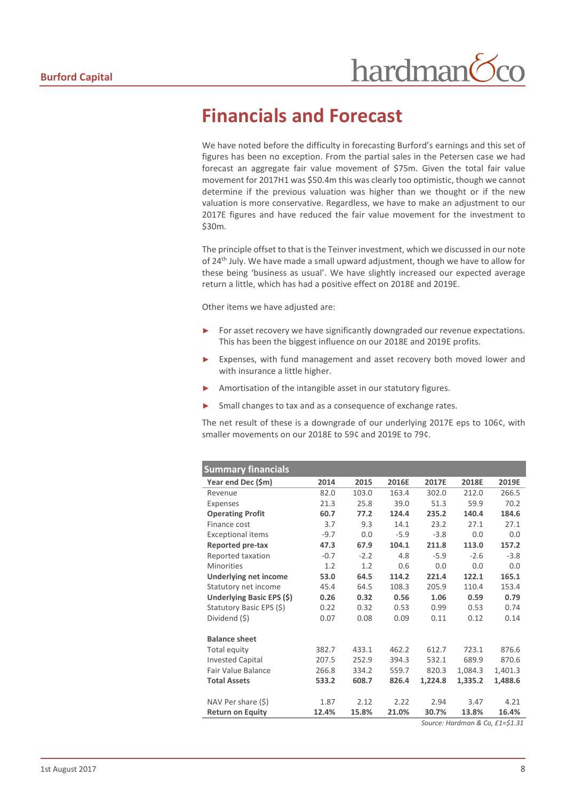# <span id="page-7-0"></span>**Financials and Forecast**

We have noted before the difficulty in forecasting Burford's earnings and this set of figures has been no exception. From the partial sales in the Petersen case we had forecast an aggregate fair value movement of \$75m. Given the total fair value movement for 2017H1 was \$50.4m this was clearly too optimistic, though we cannot determine if the previous valuation was higher than we thought or if the new valuation is more conservative. Regardless, we have to make an adjustment to our 2017E figures and have reduced the fair value movement for the investment to \$30m.

The principle offset to that is the Teinver investment, which we discussed in our note of 24<sup>th</sup> July. We have made a small upward adjustment, though we have to allow for these being 'business as usual'. We have slightly increased our expected average return a little, which has had a positive effect on 2018E and 2019E.

Other items we have adjusted are:

- For asset recovery we have significantly downgraded our revenue expectations. This has been the biggest influence on our 2018E and 2019E profits.
- Expenses, with fund management and asset recovery both moved lower and with insurance a little higher.
- Amortisation of the intangible asset in our statutory figures.
- Small changes to tax and as a consequence of exchange rates.

The net result of these is a downgrade of our underlying 2017E eps to 106¢, with smaller movements on our 2018E to 59¢ and 2019E to 79¢.

| <b>Summary financials</b>    |        |        |        |         |         |                                                                              |
|------------------------------|--------|--------|--------|---------|---------|------------------------------------------------------------------------------|
| Year end Dec (\$m)           | 2014   | 2015   | 2016E  | 2017E   | 2018E   | 2019E                                                                        |
| Revenue                      | 82.0   | 103.0  | 163.4  | 302.0   | 212.0   | 266.5                                                                        |
| Expenses                     | 21.3   | 25.8   | 39.0   | 51.3    | 59.9    | 70.2                                                                         |
| <b>Operating Profit</b>      | 60.7   | 77.2   | 124.4  | 235.2   | 140.4   | 184.6                                                                        |
| Finance cost                 | 3.7    | 9.3    | 14.1   | 23.2    | 27.1    | 27.1                                                                         |
| <b>Exceptional items</b>     | $-9.7$ | 0.0    | $-5.9$ | $-3.8$  | 0.0     | 0.0                                                                          |
| Reported pre-tax             | 47.3   | 67.9   | 104.1  | 211.8   | 113.0   | 157.2                                                                        |
| Reported taxation            | $-0.7$ | $-2.2$ | 4.8    | $-5.9$  | $-2.6$  | $-3.8$                                                                       |
| <b>Minorities</b>            | 1.2    | 1.2    | 0.6    | 0.0     | 0.0     | 0.0                                                                          |
| <b>Underlying net income</b> | 53.0   | 64.5   | 114.2  | 221.4   | 122.1   | 165.1                                                                        |
| Statutory net income         | 45.4   | 64.5   | 108.3  | 205.9   | 110.4   | 153.4                                                                        |
| Underlying Basic EPS (\$)    | 0.26   | 0.32   | 0.56   | 1.06    | 0.59    | 0.79                                                                         |
| Statutory Basic EPS (\$)     | 0.22   | 0.32   | 0.53   | 0.99    | 0.53    | 0.74                                                                         |
| Dividend (\$)                | 0.07   | 0.08   | 0.09   | 0.11    | 0.12    | 0.14                                                                         |
|                              |        |        |        |         |         |                                                                              |
| <b>Balance sheet</b>         |        |        |        |         |         |                                                                              |
| Total equity                 | 382.7  | 433.1  | 462.2  | 612.7   | 723.1   | 876.6                                                                        |
| <b>Invested Capital</b>      | 207.5  | 252.9  | 394.3  | 532.1   | 689.9   | 870.6                                                                        |
| Fair Value Balance           | 266.8  | 334.2  | 559.7  | 820.3   | 1,084.3 | 1,401.3                                                                      |
| <b>Total Assets</b>          | 533.2  | 608.7  | 826.4  | 1,224.8 | 1,335.2 | 1,488.6                                                                      |
|                              |        |        |        |         |         |                                                                              |
| NAV Per share (\$)           | 1.87   | 2.12   | 2.22   | 2.94    | 3.47    | 4.21                                                                         |
| <b>Return on Equity</b>      | 12.4%  | 15.8%  | 21.0%  | 30.7%   | 13.8%   | 16.4%                                                                        |
|                              |        |        |        |         |         | $C_{\text{outron}}$ , Hardman $\Omega$ , $C_{\Omega}$ , $L1-\dot{C}1$ , $21$ |

*Source: Hardman & Co, £1=\$1.31*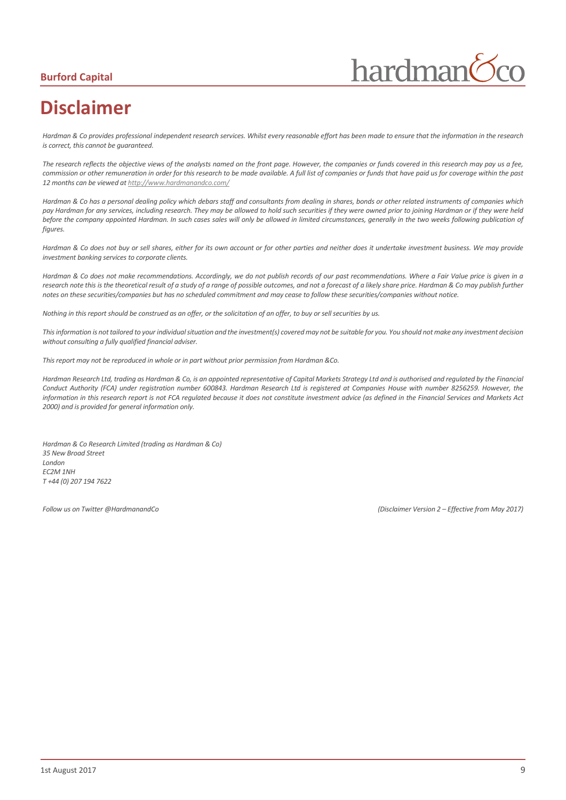## **Burford Capital**

hardman

# <span id="page-8-0"></span>**Disclaimer**

*Hardman & Co provides professional independent research services. Whilst every reasonable effort has been made to ensure that the information in the research is correct, this cannot be guaranteed.*

*The research reflects the objective views of the analysts named on the front page. However, the companies or funds covered in this research may pay us a fee, commission or other remuneration in order for this research to be made available. A full list of companies or funds that have paid us for coverage within the past 12 months can be viewed a[t http://www.hardmanandco.com/](http://www.hardmanandco.com/)*

*Hardman & Co has a personal dealing policy which debars staff and consultants from dealing in shares, bonds or other related instruments of companies which pay Hardman for any services, including research. They may be allowed to hold such securities if they were owned prior to joining Hardman or if they were held*  before the company appointed Hardman. In such cases sales will only be allowed in limited circumstances, generally in the two weeks following publication of *figures.* 

Hardman & Co does not buy or sell shares, either for its own account or for other parties and neither does it undertake investment business. We may provide *investment banking services to corporate clients.* 

*Hardman & Co does not make recommendations. Accordingly, we do not publish records of our past recommendations. Where a Fair Value price is given in a*  research note this is the theoretical result of a study of a range of possible outcomes, and not a forecast of a likely share price. Hardman & Co may publish further *notes on these securities/companies but has no scheduled commitment and may cease to follow these securities/companies without notice.*

*Nothing in this report should be construed as an offer, or the solicitation of an offer, to buy or sell securities by us.*

*This information is not tailored to your individual situation and the investment(s) covered may not be suitable for you. You should not make any investment decision without consulting a fully qualified financial adviser.*

*This report may not be reproduced in whole or in part without prior permission from Hardman &Co.*

*Hardman Research Ltd, trading as Hardman & Co, is an appointed representative of Capital Markets Strategy Ltd and is authorised and regulated by the Financial Conduct Authority (FCA) under registration number 600843. Hardman Research Ltd is registered at Companies House with number 8256259. However, the information in this research report is not FCA regulated because it does not constitute investment advice (as defined in the Financial Services and Markets Act 2000) and is provided for general information only.*

*Hardman & Co Research Limited (trading as Hardman & Co) 35 New Broad Street London EC2M 1NH T +44 (0) 207 194 7622*

*Follow us on Twitter @HardmanandCo (Disclaimer Version 2 – Effective from May 2017)*